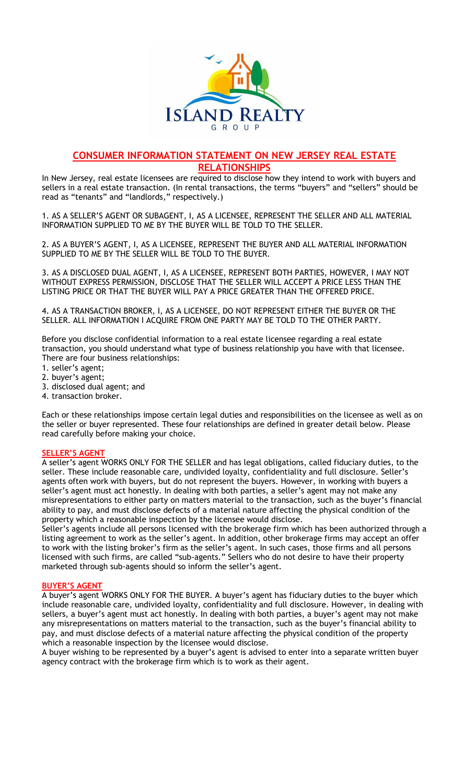

# **CONSUMER INFORMATION STATEMENT ON NEW JERSEY REAL ESTATE RELATIONSHIPS**

In New Jersey, real estate licensees are required to disclose how they intend to work with buyers and sellers in a real estate transaction. (In rental transactions, the terms "buyers" and "sellers" should be read as "tenants" and "landlords," respectively.)

1. AS A SELLER'S AGENT OR SUBAGENT, I, AS A LICENSEE, REPRESENT THE SELLER AND ALL MATERIAL INFORMATION SUPPLIED TO ME BY THE BUYER WILL BE TOLD TO THE SELLER.

2. AS A BUYER'S AGENT, I, AS A LICENSEE, REPRESENT THE BUYER AND ALL MATERIAL INFORMATION SUPPLIED TO ME BY THE SELLER WILL BE TOLD TO THE BUYER.

3. AS A DISCLOSED DUAL AGENT, I, AS A LICENSEE, REPRESENT BOTH PARTIES, HOWEVER, I MAY NOT WITHOUT EXPRESS PERMISSION, DISCLOSE THAT THE SELLER WILL ACCEPT A PRICE LESS THAN THE LISTING PRICE OR THAT THE BUYER WILL PAY A PRICE GREATER THAN THE OFFERED PRICE.

4. AS A TRANSACTION BROKER, I, AS A LICENSEE, DO NOT REPRESENT EITHER THE BUYER OR THE SELLER. ALL INFORMATION I ACQUIRE FROM ONE PARTY MAY BE TOLD TO THE OTHER PARTY.

Before you disclose confidential information to a real estate licensee regarding a real estate transaction, you should understand what type of business relationship you have with that licensee. There are four business relationships:

- 1. seller's agent;
- 2. buyer's agent;
- 3. disclosed dual agent; and
- 4. transaction broker.

Each or these relationships impose certain legal duties and responsibilities on the licensee as well as on the seller or buyer represented. These four relationships are defined in greater detail below. Please read carefully before making your choice.

## **SELLER'S AGENT**

A seller's agent WORKS ONLY FOR THE SELLER and has legal obligations, called fiduciary duties, to the seller. These include reasonable care, undivided loyalty, confidentiality and full disclosure. Seller's agents often work with buyers, but do not represent the buyers. However, in working with buyers a seller's agent must act honestly. In dealing with both parties, a seller's agent may not make any misrepresentations to either party on matters material to the transaction, such as the buyer's financial ability to pay, and must disclose defects of a material nature affecting the physical condition of the property which a reasonable inspection by the licensee would disclose.

Seller's agents include all persons licensed with the brokerage firm which has been authorized through a listing agreement to work as the seller's agent. In addition, other brokerage firms may accept an offer to work with the listing broker's firm as the seller's agent. In such cases, those firms and all persons licensed with such firms, are called "sub-agents." Sellers who do not desire to have their property marketed through sub-agents should so inform the seller's agent.

## **BUYER'S AGENT**

A buyer's agent WORKS ONLY FOR THE BUYER. A buyer's agent has fiduciary duties to the buyer which include reasonable care, undivided loyalty, confidentiality and full disclosure. However, in dealing with sellers, a buyer's agent must act honestly. In dealing with both parties, a buyer's agent may not make any misrepresentations on matters material to the transaction, such as the buyer's financial ability to pay, and must disclose defects of a material nature affecting the physical condition of the property which a reasonable inspection by the licensee would disclose.

A buyer wishing to be represented by a buyer's agent is advised to enter into a separate written buyer agency contract with the brokerage firm which is to work as their agent.